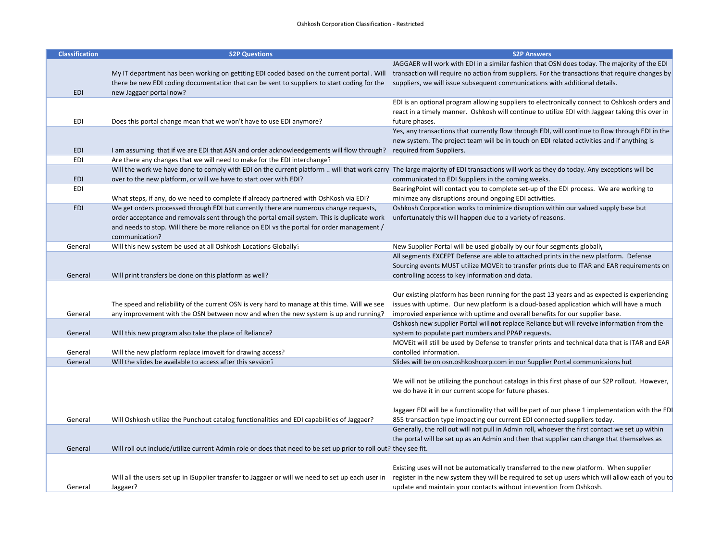## Oshkosh Corporation Classification ‐ Restricted#

| <b>Classification</b> | <b>S2P Questions</b>                                                                                                                                                                  | <b>S2P Answers</b>                                                                                                                                                                            |
|-----------------------|---------------------------------------------------------------------------------------------------------------------------------------------------------------------------------------|-----------------------------------------------------------------------------------------------------------------------------------------------------------------------------------------------|
|                       |                                                                                                                                                                                       | JAGGAER will work with EDI in a similar fashion that OSN does today. The majority of the EDI                                                                                                  |
|                       |                                                                                                                                                                                       | My IT department has been working on gettting EDI coded based on the current portal . Will transaction will require no action from suppliers. For the transactions that require changes by    |
|                       | there be new EDI coding documentation that can be sent to suppliers to start coding for the                                                                                           | suppliers, we will issue subsequent communications with additional details.                                                                                                                   |
| <b>EDI</b>            | new Jaggaer portal now?                                                                                                                                                               |                                                                                                                                                                                               |
|                       |                                                                                                                                                                                       | EDI is an optional program allowing suppliers to electronically connect to Oshkosh orders and                                                                                                 |
|                       |                                                                                                                                                                                       | react in a timely manner. Oshkosh will continue to utilize EDI with Jaggear taking this over in                                                                                               |
| EDI                   | Does this portal change mean that we won't have to use EDI anymore?                                                                                                                   | future phases.                                                                                                                                                                                |
|                       |                                                                                                                                                                                       | Yes, any transactions that currently flow through EDI, will continue to flow through EDI in the                                                                                               |
|                       |                                                                                                                                                                                       | new system. The project team will be in touch on EDI related activities and if anything is                                                                                                    |
| <b>EDI</b><br>EDI     | I am assuming that if we are EDI that ASN and order acknowleedgements will flow through?<br>Are there any changes that we will need to make for the EDI interchange?                  | required from Suppliers.                                                                                                                                                                      |
|                       | Will the work we have done to comply with EDI on the current platform  will that work carry The large majority of EDI transactions will work as they do today. Any exceptions will be |                                                                                                                                                                                               |
| <b>EDI</b>            | over to the new platform, or will we have to start over with EDI?                                                                                                                     | communicated to EDI Suppliers in the coming weeks.                                                                                                                                            |
| EDI                   |                                                                                                                                                                                       | BearingPoint will contact you to complete set-up of the EDI process. We are working to                                                                                                        |
|                       | What steps, if any, do we need to complete if already partnered with OshKosh via EDI?                                                                                                 | minimze any disruptions around ongoing EDI activities.                                                                                                                                        |
| EDI                   | We get orders processed through EDI but currently there are numerous change requests,                                                                                                 | Oshkosh Corporation works to minimize disruption within our valued supply base but                                                                                                            |
|                       | order acceptance and removals sent through the portal email system. This is duplicate work                                                                                            | unfortunately this will happen due to a variety of reasons.                                                                                                                                   |
|                       | and needs to stop. Will there be more reliance on EDI vs the portal for order management /                                                                                            |                                                                                                                                                                                               |
|                       | communication?                                                                                                                                                                        |                                                                                                                                                                                               |
| General               | Will this new system be used at all Oshkosh Locations Globally?                                                                                                                       | New Supplier Portal will be used globally by our four segments globally                                                                                                                       |
|                       |                                                                                                                                                                                       | All segments EXCEPT Defense are able to attached prints in the new platform. Defense                                                                                                          |
|                       |                                                                                                                                                                                       | Sourcing events MUST utilize MOVEit to transfer prints due to ITAR and EAR requirements on                                                                                                    |
| General               | Will print transfers be done on this platform as well?                                                                                                                                | controlling access to key information and data.                                                                                                                                               |
|                       |                                                                                                                                                                                       |                                                                                                                                                                                               |
|                       | The speed and reliability of the current OSN is very hard to manage at this time. Will we see                                                                                         | Our existing platform has been running for the past 13 years and as expected is experiencing<br>issues with uptime. Our new platform is a cloud-based application which will have a much      |
| General               | any improvement with the OSN between now and when the new system is up and running?                                                                                                   | improvied experience with uptime and overall benefits for our supplier base.                                                                                                                  |
|                       |                                                                                                                                                                                       | Oshkosh new supplier Portal will not replace Reliance but will reveive information from the                                                                                                   |
| General               | Will this new program also take the place of Reliance?                                                                                                                                | system to populate part numbers and PPAP requests.                                                                                                                                            |
|                       |                                                                                                                                                                                       | MOVEIt will still be used by Defense to transfer prints and technical data that is ITAR and EAR                                                                                               |
| General               | Will the new platform replace imoveit for drawing access?                                                                                                                             | contolled information.                                                                                                                                                                        |
| General               | Will the slides be available to access after this session?                                                                                                                            | Slides will be on osn.oshkoshcorp.com in our Supplier Portal communicaions hut                                                                                                                |
|                       |                                                                                                                                                                                       |                                                                                                                                                                                               |
|                       |                                                                                                                                                                                       | We will not be utilizing the punchout catalogs in this first phase of our S2P rollout. However,                                                                                               |
|                       |                                                                                                                                                                                       | we do have it in our current scope for future phases.                                                                                                                                         |
|                       |                                                                                                                                                                                       |                                                                                                                                                                                               |
|                       |                                                                                                                                                                                       | Jaggaer EDI will be a functionality that will be part of our phase 1 implementation with the EDI                                                                                              |
| General               | Will Oshkosh utilize the Punchout catalog functionalities and EDI capabilities of Jaggaer?                                                                                            | 855 transaction type impacting our current EDI connected suppliers today.                                                                                                                     |
|                       |                                                                                                                                                                                       | Generally, the roll out will not pull in Admin roll, whoever the first contact we set up within<br>the portal will be set up as an Admin and then that supplier can change that themselves as |
| General               | Will roll out include/utilize current Admin role or does that need to be set up prior to roll out? they see fit.                                                                      |                                                                                                                                                                                               |
|                       |                                                                                                                                                                                       |                                                                                                                                                                                               |
|                       |                                                                                                                                                                                       | Existing uses will not be automatically transferred to the new platform. When supplier                                                                                                        |
|                       | Will all the users set up in iSupplier transfer to Jaggaer or will we need to set up each user in                                                                                     | register in the new system they will be required to set up users which will allow each of you to                                                                                              |
| General               | Jaggaer?                                                                                                                                                                              | update and maintain your contacts without intevention from Oshkosh.                                                                                                                           |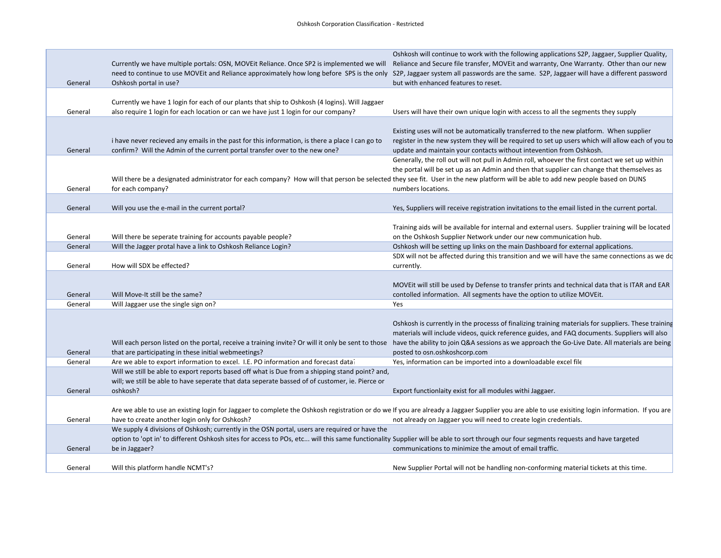|         | Currently we have multiple portals: OSN, MOVEit Reliance. Once SP2 is implemented we will Reliance and Secure file transfer, MOVEit and warranty, One Warranty. Other than our new   | Oshkosh will continue to work with the following applications S2P, Jaggaer, Supplier Quality,                                                                                                                                      |
|---------|--------------------------------------------------------------------------------------------------------------------------------------------------------------------------------------|------------------------------------------------------------------------------------------------------------------------------------------------------------------------------------------------------------------------------------|
| General | need to continue to use MOVEIt and Reliance approximately how long before SPS is the only<br>Oshkosh portal in use?                                                                  | S2P, Jaggaer system all passwords are the same. S2P, Jaggaer will have a different password<br>but with enhanced features to reset.                                                                                                |
|         |                                                                                                                                                                                      |                                                                                                                                                                                                                                    |
|         | Currently we have 1 login for each of our plants that ship to Oshkosh (4 logins). Will Jaggaer                                                                                       |                                                                                                                                                                                                                                    |
| General | also require 1 login for each location or can we have just 1 login for our company?                                                                                                  | Users will have their own unique login with access to all the segments they supply                                                                                                                                                 |
|         |                                                                                                                                                                                      | Existing uses will not be automatically transferred to the new platform. When supplier                                                                                                                                             |
|         | i have never recieved any emails in the past for this information, is there a place I can go to                                                                                      | register in the new system they will be required to set up users which will allow each of you to                                                                                                                                   |
| General | confirm? Will the Admin of the current portal transfer over to the new one?                                                                                                          | update and maintain your contacts without intevention from Oshkosh.                                                                                                                                                                |
|         |                                                                                                                                                                                      | Generally, the roll out will not pull in Admin roll, whoever the first contact we set up within                                                                                                                                    |
|         |                                                                                                                                                                                      | the portal will be set up as an Admin and then that supplier can change that themselves as                                                                                                                                         |
|         | Will there be a designated administrator for each company? How will that person be selected they see fit. User in the new platform will be able to add new people based on DUNS      |                                                                                                                                                                                                                                    |
| General | for each company?                                                                                                                                                                    | numbers locations.                                                                                                                                                                                                                 |
| General | Will you use the e-mail in the current portal?                                                                                                                                       | Yes, Suppliers will receive registration invitations to the email listed in the current portal.                                                                                                                                    |
|         |                                                                                                                                                                                      |                                                                                                                                                                                                                                    |
|         |                                                                                                                                                                                      | Training aids will be available for internal and external users. Supplier training will be located                                                                                                                                 |
| General | Will there be seperate training for accounts payable people?                                                                                                                         | on the Oshkosh Supplier Network under our new communication hub.                                                                                                                                                                   |
| General | Will the Jagger protal have a link to Oshkosh Reliance Login?                                                                                                                        | Oshkosh will be setting up links on the main Dashboard for external applications.                                                                                                                                                  |
|         |                                                                                                                                                                                      | SDX will not be affected during this transition and we will have the same connections as we do                                                                                                                                     |
| General | How will SDX be effected?                                                                                                                                                            | currently.                                                                                                                                                                                                                         |
|         |                                                                                                                                                                                      | MOVEIt will still be used by Defense to transfer prints and technical data that is ITAR and EAR                                                                                                                                    |
| General | Will Move-It still be the same?                                                                                                                                                      | contolled information. All segments have the option to utilize MOVEit.                                                                                                                                                             |
| General | Will Jaggaer use the single sign on?                                                                                                                                                 | Yes                                                                                                                                                                                                                                |
|         |                                                                                                                                                                                      |                                                                                                                                                                                                                                    |
|         |                                                                                                                                                                                      | Oshkosh is currently in the processs of finalizing training materials for suppliers. These training                                                                                                                                |
|         |                                                                                                                                                                                      | materials will include videos, quick reference guides, and FAQ documents. Suppliers will also                                                                                                                                      |
| General | that are participating in these initial webmeetings?                                                                                                                                 | Will each person listed on the portal, receive a training invite? Or will it only be sent to those have the ability to join Q&A sessions as we approach the Go-Live Date. All materials are being<br>posted to osn.oshkoshcorp.com |
| General | Are we able to export information to excel. I.E. PO information and forecast data?                                                                                                   | Yes, information can be imported into a downloadable excel file                                                                                                                                                                    |
|         | Will we still be able to export reports based off what is Due from a shipping stand point? and,                                                                                      |                                                                                                                                                                                                                                    |
|         | will; we still be able to have seperate that data seperate bassed of of customer, ie. Pierce or                                                                                      |                                                                                                                                                                                                                                    |
| General | oshkosh?                                                                                                                                                                             | Export functionlaity exist for all modules withi Jaggaer.                                                                                                                                                                          |
|         |                                                                                                                                                                                      |                                                                                                                                                                                                                                    |
|         |                                                                                                                                                                                      | Are we able to use an existing login for Jaggaer to complete the Oshkosh registration or do we If you are already a Jaggaer Supplier you are able to use exisiting login information. If you are                                   |
| General | have to create another login only for Oshkosh?<br>We supply 4 divisions of Oshkosh; currently in the OSN portal, users are required or have the                                      | not already on Jaggaer you will need to create login credentials.                                                                                                                                                                  |
|         | option to 'opt in' to different Oshkosh sites for access to POs, etc will this same functionality Supplier will be able to sort through our four segments requests and have targeted |                                                                                                                                                                                                                                    |
| General | be in Jaggaer?                                                                                                                                                                       | communications to minimize the amout of email traffic.                                                                                                                                                                             |
|         |                                                                                                                                                                                      |                                                                                                                                                                                                                                    |
| General | Will this platform handle NCMT's?                                                                                                                                                    | New Supplier Portal will not be handling non-conforming material tickets at this time.                                                                                                                                             |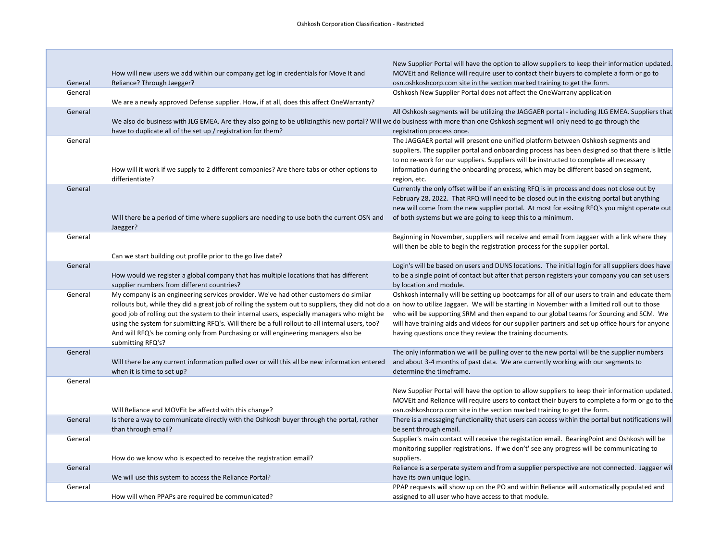| General | How will new users we add within our company get log in credentials for Move It and<br>Reliance? Through Jaegger?                                                                              | New Supplier Portal will have the option to allow suppliers to keep their information updated.<br>MOVEIt and Reliance will require user to contact their buyers to complete a form or go to<br>osn.oshkoshcorp.com site in the section marked training to get the form. |
|---------|------------------------------------------------------------------------------------------------------------------------------------------------------------------------------------------------|-------------------------------------------------------------------------------------------------------------------------------------------------------------------------------------------------------------------------------------------------------------------------|
| General |                                                                                                                                                                                                | Oshkosh New Supplier Portal does not affect the OneWarrany application                                                                                                                                                                                                  |
|         | We are a newly approved Defense supplier. How, if at all, does this affect OneWarranty?                                                                                                        |                                                                                                                                                                                                                                                                         |
| General |                                                                                                                                                                                                | All Oshkosh segments will be utilizing the JAGGAER portal - including JLG EMEA. Suppliers that                                                                                                                                                                          |
|         | We also do business with JLG EMEA. Are they also going to be utilizingthis new portal? Will we do business with more than one Oshkosh segment will only need to go through the                 |                                                                                                                                                                                                                                                                         |
|         | have to duplicate all of the set up / registration for them?                                                                                                                                   | registration process once.                                                                                                                                                                                                                                              |
| General |                                                                                                                                                                                                | The JAGGAER portal will present one unified platform between Oshkosh segments and                                                                                                                                                                                       |
|         |                                                                                                                                                                                                | suppliers. The supplier portal and onboarding process has been designed so that there is little                                                                                                                                                                         |
|         |                                                                                                                                                                                                | to no re-work for our suppliers. Suppliers will be instructed to complete all necessary                                                                                                                                                                                 |
|         | How will it work if we supply to 2 different companies? Are there tabs or other options to                                                                                                     | information during the onboarding process, which may be different based on segment,                                                                                                                                                                                     |
|         | differientiate?                                                                                                                                                                                | region, etc.                                                                                                                                                                                                                                                            |
| General |                                                                                                                                                                                                | Currently the only offset will be if an existing RFQ is in process and does not close out by                                                                                                                                                                            |
|         |                                                                                                                                                                                                | February 28, 2022. That RFQ will need to be closed out in the exisitng portal but anything                                                                                                                                                                              |
|         |                                                                                                                                                                                                | new will come from the new supplier portal. At most for exsitng RFQ's you might operate out                                                                                                                                                                             |
|         | Will there be a period of time where suppliers are needing to use both the current OSN and                                                                                                     | of both systems but we are going to keep this to a minimum.                                                                                                                                                                                                             |
|         | Jaegger?                                                                                                                                                                                       |                                                                                                                                                                                                                                                                         |
| General |                                                                                                                                                                                                | Beginning in November, suppliers will receive and email from Jaggaer with a link where they                                                                                                                                                                             |
|         |                                                                                                                                                                                                | will then be able to begin the registration process for the supplier portal.                                                                                                                                                                                            |
|         | Can we start building out profile prior to the go live date?                                                                                                                                   |                                                                                                                                                                                                                                                                         |
| General |                                                                                                                                                                                                | Login's will be based on users and DUNS locations. The initial login for all suppliers does have                                                                                                                                                                        |
|         | How would we register a global company that has multiple locations that has different                                                                                                          | to be a single point of contact but after that person registers your company you can set users                                                                                                                                                                          |
|         | supplier numbers from different countries?                                                                                                                                                     | by location and module.                                                                                                                                                                                                                                                 |
| General | My company is an engineering services provider. We've had other customers do similar                                                                                                           | Oshkosh internally will be setting up bootcamps for all of our users to train and educate them                                                                                                                                                                          |
|         | rollouts but, while they did a great job of rolling the system out to suppliers, they did not do a on how to utilize Jaggaer. We will be starting in November with a limited roll out to those |                                                                                                                                                                                                                                                                         |
|         | good job of rolling out the system to their internal users, especially managers who might be                                                                                                   | who will be supporting SRM and then expand to our global teams for Sourcing and SCM. We                                                                                                                                                                                 |
|         | using the system for submitting RFQ's. Will there be a full rollout to all internal users, too?                                                                                                | will have training aids and videos for our supplier partners and set up office hours for anyone                                                                                                                                                                         |
|         | And will RFQ's be coming only from Purchasing or will engineering managers also be                                                                                                             | having questions once they review the training documents.                                                                                                                                                                                                               |
|         | submitting RFQ's?                                                                                                                                                                              |                                                                                                                                                                                                                                                                         |
| General |                                                                                                                                                                                                | The only information we will be pulling over to the new portal will be the supplier numbers                                                                                                                                                                             |
|         | Will there be any current information pulled over or will this all be new information entered                                                                                                  | and about 3-4 months of past data. We are currently working with our segments to                                                                                                                                                                                        |
|         | when it is time to set up?                                                                                                                                                                     | determine the timeframe.                                                                                                                                                                                                                                                |
| General |                                                                                                                                                                                                |                                                                                                                                                                                                                                                                         |
|         |                                                                                                                                                                                                | New Supplier Portal will have the option to allow suppliers to keep their information updated.                                                                                                                                                                          |
|         |                                                                                                                                                                                                | MOVEIt and Reliance will require users to contact their buyers to complete a form or go to the                                                                                                                                                                          |
|         | Will Reliance and MOVEit be affectd with this change?                                                                                                                                          | osn.oshkoshcorp.com site in the section marked training to get the form.                                                                                                                                                                                                |
| General | Is there a way to communicate directly with the Oshkosh buyer through the portal, rather                                                                                                       | There is a messaging functionality that users can access within the portal but notifications will                                                                                                                                                                       |
|         | than through email?                                                                                                                                                                            | be sent through email.                                                                                                                                                                                                                                                  |
| General |                                                                                                                                                                                                | Supplier's main contact will receive the registation email. BearingPoint and Oshkosh will be                                                                                                                                                                            |
|         |                                                                                                                                                                                                | monitoring supplier registrations. If we don't' see any progress will be communicating to                                                                                                                                                                               |
|         | How do we know who is expected to receive the registration email?                                                                                                                              | suppliers.                                                                                                                                                                                                                                                              |
| General |                                                                                                                                                                                                | Reliance is a serperate system and from a supplier perspective are not connected. Jaggaer wil                                                                                                                                                                           |
|         | We will use this system to access the Reliance Portal?                                                                                                                                         | have its own unique login.                                                                                                                                                                                                                                              |
| General |                                                                                                                                                                                                | PPAP requests will show up on the PO and within Reliance will automatically populated and                                                                                                                                                                               |
|         | How will when PPAPs are required be communicated?                                                                                                                                              | assigned to all user who have access to that module.                                                                                                                                                                                                                    |
|         |                                                                                                                                                                                                |                                                                                                                                                                                                                                                                         |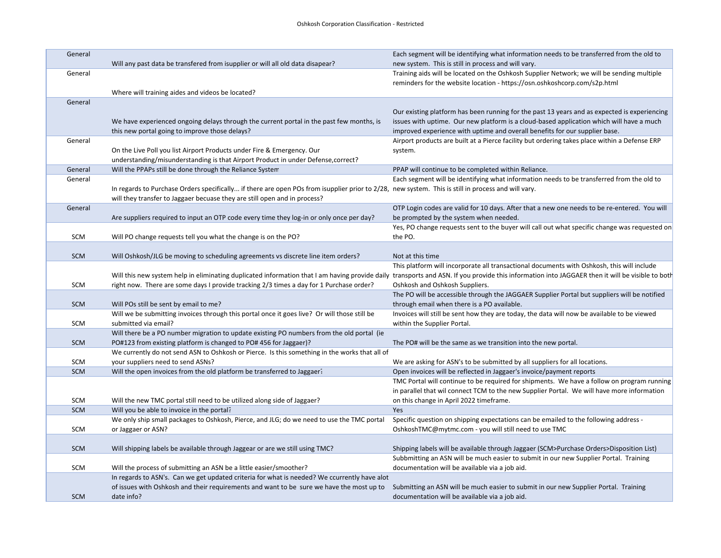| General    |                                                                                                                                                                               | Each segment will be identifying what information needs to be transferred from the old to                                                                                                       |
|------------|-------------------------------------------------------------------------------------------------------------------------------------------------------------------------------|-------------------------------------------------------------------------------------------------------------------------------------------------------------------------------------------------|
|            | Will any past data be transfered from isupplier or will all old data disapear?                                                                                                | new system. This is still in process and will vary.                                                                                                                                             |
| General    |                                                                                                                                                                               | Training aids will be located on the Oshkosh Supplier Network; we will be sending multiple                                                                                                      |
|            |                                                                                                                                                                               | reminders for the website location - https://osn.oshkoshcorp.com/s2p.html                                                                                                                       |
|            | Where will training aides and videos be located?                                                                                                                              |                                                                                                                                                                                                 |
| General    |                                                                                                                                                                               | Our existing platform has been running for the past 13 years and as expected is experiencing                                                                                                    |
|            | We have experienced ongoing delays through the current portal in the past few months, is                                                                                      | issues with uptime. Our new platform is a cloud-based application which will have a much                                                                                                        |
|            | this new portal going to improve those delays?                                                                                                                                | improved experience with uptime and overall benefits for our supplier base.                                                                                                                     |
| General    |                                                                                                                                                                               | Airport products are built at a Pierce facility but ordering takes place within a Defense ERP                                                                                                   |
|            | On the Live Poll you list Airport Products under Fire & Emergency. Our                                                                                                        | system.                                                                                                                                                                                         |
|            | understanding/misunderstanding is that Airport Product in under Defense, correct?                                                                                             |                                                                                                                                                                                                 |
| General    | Will the PPAPs still be done through the Reliance System                                                                                                                      | PPAP will continue to be completed within Reliance.                                                                                                                                             |
| General    |                                                                                                                                                                               | Each segment will be identifying what information needs to be transferred from the old to                                                                                                       |
|            | In regards to Purchase Orders specifically if there are open POs from isupplier prior to 2/28, new system. This is still in process and will vary.                            |                                                                                                                                                                                                 |
|            | will they transfer to Jaggaer becuase they are still open and in process?                                                                                                     |                                                                                                                                                                                                 |
| General    |                                                                                                                                                                               | OTP Login codes are valid for 10 days. After that a new one needs to be re-entered. You will                                                                                                    |
|            | Are suppliers required to input an OTP code every time they log-in or only once per day?                                                                                      | be prompted by the system when needed.                                                                                                                                                          |
|            |                                                                                                                                                                               | Yes, PO change requests sent to the buyer will call out what specific change was requested on                                                                                                   |
| <b>SCM</b> | Will PO change requests tell you what the change is on the PO?                                                                                                                | the PO.                                                                                                                                                                                         |
|            |                                                                                                                                                                               |                                                                                                                                                                                                 |
| <b>SCM</b> | Will Oshkosh/JLG be moving to scheduling agreements vs discrete line item orders?                                                                                             | Not at this time                                                                                                                                                                                |
|            |                                                                                                                                                                               | This platform will incorporate all transactional documents with Oshkosh, this will include                                                                                                      |
|            |                                                                                                                                                                               | Will this new system help in eliminating duplicated information that I am having provide daily transports and ASN. If you provide this information into JAGGAER then it will be visible to both |
| <b>SCM</b> | right now. There are some days I provide tracking 2/3 times a day for 1 Purchase order?                                                                                       | Oshkosh and Oshkosh Suppliers.<br>The PO will be accessible through the JAGGAER Supplier Portal but suppliers will be notified                                                                  |
| <b>SCM</b> | Will POs still be sent by email to me?                                                                                                                                        | through email when there is a PO available.                                                                                                                                                     |
|            | Will we be submitting invoices through this portal once it goes live? Or will those still be                                                                                  | Invoices will still be sent how they are today, the data will now be available to be viewed                                                                                                     |
| SCM        | submitted via email?                                                                                                                                                          | within the Supplier Portal.                                                                                                                                                                     |
|            | Will there be a PO number migration to update existing PO numbers from the old portal (ie                                                                                     |                                                                                                                                                                                                 |
| <b>SCM</b> | PO#123 from existing platform is changed to PO#456 for Jaggaer)?                                                                                                              | The PO# will be the same as we transition into the new portal.                                                                                                                                  |
|            | We currently do not send ASN to Oshkosh or Pierce. Is this something in the works that all of                                                                                 |                                                                                                                                                                                                 |
| SCM        | your suppliers need to send ASNs?                                                                                                                                             | We are asking for ASN's to be submitted by all suppliers for all locations.                                                                                                                     |
| <b>SCM</b> | Will the open invoices from the old platform be transferred to Jaggaer.                                                                                                       | Open invoices will be reflected in Jaggaer's invoice/payment reports                                                                                                                            |
|            |                                                                                                                                                                               | TMC Portal will continue to be required for shipments. We have a follow on program running                                                                                                      |
|            |                                                                                                                                                                               | in parallel that wil connect TCM to the new Supplier Portal. We will have more information                                                                                                      |
| SCM        | Will the new TMC portal still need to be utilized along side of Jaggaer?                                                                                                      | on this change in April 2022 timeframe.                                                                                                                                                         |
| <b>SCM</b> | Will you be able to invoice in the portal?                                                                                                                                    | Yes                                                                                                                                                                                             |
|            | We only ship small packages to Oshkosh, Pierce, and JLG; do we need to use the TMC portal                                                                                     | Specific question on shipping expectations can be emailed to the following address -                                                                                                            |
| SCM        | or Jaggaer or ASN?                                                                                                                                                            | OshkoshTMC@mytmc.com - you will still need to use TMC                                                                                                                                           |
|            |                                                                                                                                                                               |                                                                                                                                                                                                 |
| <b>SCM</b> | Will shipping labels be available through Jaggear or are we still using TMC?                                                                                                  | Shipping labels will be available through Jaggaer (SCM>Purchase Orders>Disposition List)                                                                                                        |
| <b>SCM</b> | Will the process of submitting an ASN be a little easier/smoother?                                                                                                            | Subbmitting an ASN will be much easier to submit in our new Supplier Portal. Training<br>documentation will be available via a job aid.                                                         |
|            | In regards to ASN's. Can we get updated criteria for what is needed? We ccurrently have alot                                                                                  |                                                                                                                                                                                                 |
|            | of issues with Oshkosh and their requirements and want to be sure we have the most up to Submitting an ASN will be much easier to submit in our new Supplier Portal. Training |                                                                                                                                                                                                 |
| <b>SCM</b> | date info?                                                                                                                                                                    | documentation will be available via a job aid.                                                                                                                                                  |
|            |                                                                                                                                                                               |                                                                                                                                                                                                 |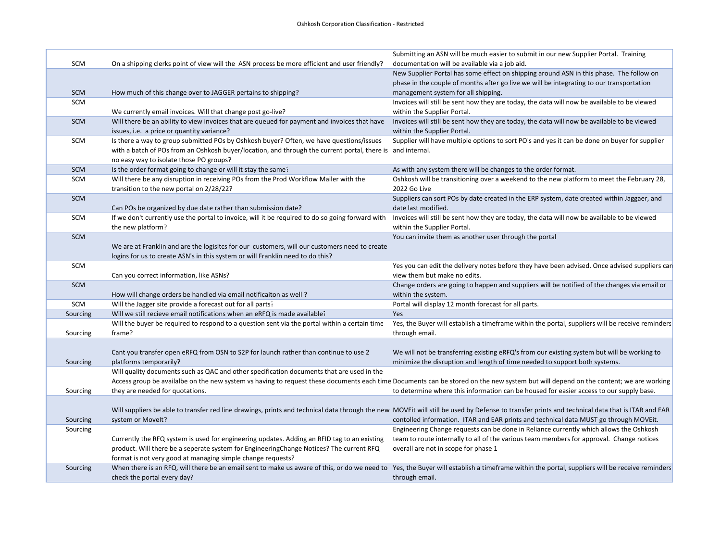|            |                                                                                                            | Submitting an ASN will be much easier to submit in our new Supplier Portal. Training                                                                                                            |
|------------|------------------------------------------------------------------------------------------------------------|-------------------------------------------------------------------------------------------------------------------------------------------------------------------------------------------------|
| SCM        | On a shipping clerks point of view will the ASN process be more efficient and user friendly?               | documentation will be available via a job aid.                                                                                                                                                  |
|            |                                                                                                            | New Supplier Portal has some effect on shipping around ASN in this phase. The follow on                                                                                                         |
|            |                                                                                                            | phase in the couple of months after go live we will be integrating to our transportation                                                                                                        |
| <b>SCM</b> | How much of this change over to JAGGER pertains to shipping?                                               | management system for all shipping.                                                                                                                                                             |
| SCM        |                                                                                                            | Invoices will still be sent how they are today, the data will now be available to be viewed                                                                                                     |
|            | We currently email invoices. Will that change post go-live?                                                | within the Supplier Portal.                                                                                                                                                                     |
| <b>SCM</b> | Will there be an ability to view invoices that are queued for payment and invoices that have               | Invoices will still be sent how they are today, the data will now be available to be viewed                                                                                                     |
|            | issues, i.e. a price or quantity variance?                                                                 | within the Supplier Portal.                                                                                                                                                                     |
| SCM        | Is there a way to group submitted POs by Oshkosh buyer? Often, we have questions/issues                    | Supplier will have multiple options to sort PO's and yes it can be done on buyer for supplier                                                                                                   |
|            | with a batch of POs from an Oshkosh buyer/location, and through the current portal, there is and internal. |                                                                                                                                                                                                 |
|            | no easy way to isolate those PO groups?                                                                    |                                                                                                                                                                                                 |
| SCM        | Is the order format going to change or will it stay the same?                                              | As with any system there will be changes to the order format.                                                                                                                                   |
| SCM        | Will there be any disruption in receiving POs from the Prod Workflow Mailer with the                       | Oshkosh will be transitioning over a weekend to the new platform to meet the February 28,                                                                                                       |
|            | transition to the new portal on 2/28/22?                                                                   | 2022 Go Live                                                                                                                                                                                    |
| SCM        |                                                                                                            | Suppliers can sort POs by date created in the ERP system, date created within Jaggaer, and                                                                                                      |
|            | Can POs be organized by due date rather than submission date?                                              | date last modified.                                                                                                                                                                             |
| SCM        | If we don't currently use the portal to invoice, will it be required to do so going forward with           | Invoices will still be sent how they are today, the data will now be available to be viewed                                                                                                     |
|            | the new platform?                                                                                          | within the Supplier Portal.                                                                                                                                                                     |
| <b>SCM</b> |                                                                                                            | You can invite them as another user through the portal                                                                                                                                          |
|            | We are at Franklin and are the logisitcs for our customers, will our customers need to create              |                                                                                                                                                                                                 |
|            | logins for us to create ASN's in this system or will Franklin need to do this?                             |                                                                                                                                                                                                 |
| SCM        |                                                                                                            | Yes you can edit the delivery notes before they have been advised. Once advised suppliers can                                                                                                   |
|            | Can you correct information, like ASNs?                                                                    | view them but make no edits.                                                                                                                                                                    |
| SCM        |                                                                                                            | Change orders are going to happen and suppliers will be notified of the changes via email or                                                                                                    |
|            | How will change orders be handled via email notificaiton as well?                                          | within the system.                                                                                                                                                                              |
| SCM        | Will the Jagger site provide a forecast out for all parts?                                                 | Portal will display 12 month forecast for all parts.                                                                                                                                            |
| Sourcing   | Will we still recieve email notifications when an eRFQ is made available?                                  | Yes                                                                                                                                                                                             |
|            | Will the buyer be required to respond to a question sent via the portal within a certain time              | Yes, the Buyer will establish a timeframe within the portal, suppliers will be receive reminders                                                                                                |
| Sourcing   | frame?                                                                                                     | through email.                                                                                                                                                                                  |
|            |                                                                                                            |                                                                                                                                                                                                 |
|            | Cant you transfer open eRFQ from OSN to S2P for launch rather than continue to use 2                       | We will not be transferring existing eRFQ's from our existing system but will be working to                                                                                                     |
| Sourcing   | platforms temporarily?                                                                                     | minimize the disruption and length of time needed to support both systems.                                                                                                                      |
|            | Will quality documents such as QAC and other specification documents that are used in the                  |                                                                                                                                                                                                 |
|            |                                                                                                            | Access group be availalbe on the new system vs having to request these documents each time Documents can be stored on the new system but will depend on the content; we are working             |
| Sourcing   | they are needed for quotations.                                                                            | to determine where this information can be housed for easier access to our supply base.                                                                                                         |
|            |                                                                                                            |                                                                                                                                                                                                 |
|            |                                                                                                            | Will suppliers be able to transfer red line drawings, prints and technical data through the new MOVEit will still be used by Defense to transfer prints and technical data that is ITAR and EAR |
| Sourcing   | system or Movelt?                                                                                          | contolled information. ITAR and EAR prints and technical data MUST go through MOVEit.                                                                                                           |
| Sourcing   |                                                                                                            | Engineering Change requests can be done in Reliance currently which allows the Oshkosh                                                                                                          |
|            | Currently the RFQ system is used for engineering updates. Adding an RFID tag to an existing                | team to route internally to all of the various team members for approval. Change notices                                                                                                        |
|            | product. Will there be a seperate system for EngineeringChange Notices? The current RFQ                    | overall are not in scope for phase 1                                                                                                                                                            |
|            | format is not very good at managing simple change requests?                                                |                                                                                                                                                                                                 |
| Sourcing   |                                                                                                            | When there is an RFQ, will there be an email sent to make us aware of this, or do we need to Yes, the Buyer will establish a timeframe within the portal, suppliers will be receive reminders   |
|            | check the portal every day?                                                                                | through email.                                                                                                                                                                                  |